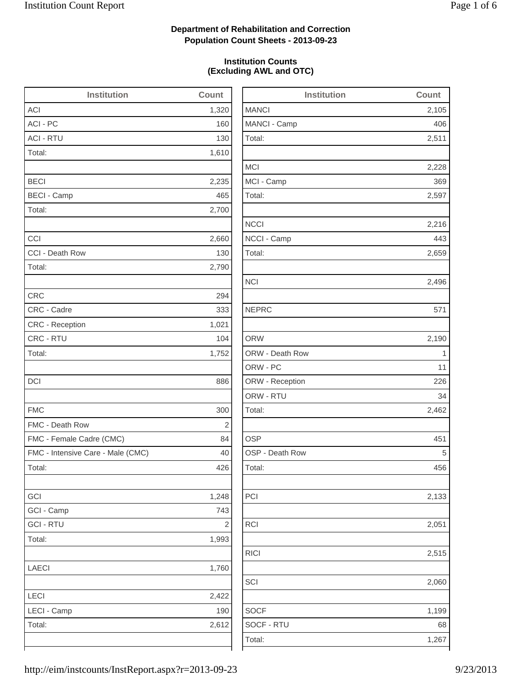2,228

2,216

2,659

2,496

2,462

2,133

2,515

2,060

1,199

### **Department of Rehabilitation and Correction Population Count Sheets - 2013-09-23**

#### **Institution Counts (Excluding AWL and OTC)**

| <b>Institution</b>                | Count          | <b>Institution</b> | Count          |
|-----------------------------------|----------------|--------------------|----------------|
| <b>ACI</b>                        | 1,320          | <b>MANCI</b>       | 2,105          |
| ACI - PC                          | 160            | MANCI - Camp       | 406            |
| <b>ACI - RTU</b>                  | 130            | Total:             | 2,511          |
| Total:                            | 1,610          |                    |                |
|                                   |                | <b>MCI</b>         | 2,228          |
| <b>BECI</b>                       | 2,235          | MCI - Camp         | 369            |
| <b>BECI - Camp</b>                | 465            | Total:             | 2,597          |
| Total:                            | 2,700          |                    |                |
|                                   |                | <b>NCCI</b>        | 2,216          |
| CCI                               | 2,660          | NCCI - Camp        | 443            |
| CCI - Death Row                   | 130            | Total:             | 2,659          |
| Total:                            | 2,790          |                    |                |
|                                   |                | <b>NCI</b>         | 2,496          |
| <b>CRC</b>                        | 294            |                    |                |
| CRC - Cadre                       | 333            | <b>NEPRC</b>       | 571            |
| <b>CRC</b> - Reception            | 1,021          |                    |                |
| CRC - RTU                         | 104            | <b>ORW</b>         | 2,190          |
| Total:                            | 1,752          | ORW - Death Row    | $\overline{1}$ |
|                                   |                | ORW - PC           | 11             |
| <b>DCI</b>                        | 886            | ORW - Reception    | 226            |
|                                   |                | ORW - RTU          | 34             |
| <b>FMC</b>                        | 300            | Total:             | 2,462          |
| FMC - Death Row                   | $\overline{2}$ |                    |                |
| FMC - Female Cadre (CMC)          | 84             | <b>OSP</b>         | 451            |
| FMC - Intensive Care - Male (CMC) | 40             | OSP - Death Row    | 5              |
| Total:                            | 426            | Total:             | 456            |
| GCI                               | 1,248          | PCI                | 2,133          |
| GCI - Camp                        | 743            |                    |                |
| <b>GCI - RTU</b>                  | $\sqrt{2}$     | <b>RCI</b>         | 2,051          |
| Total:                            | 1,993          |                    |                |
|                                   |                | <b>RICI</b>        | 2,515          |
| <b>LAECI</b>                      | 1,760          |                    |                |
|                                   |                | SCI                | 2,060          |
| LECI                              | 2,422          |                    |                |
| LECI - Camp                       | 190            | <b>SOCF</b>        | 1,199          |
| Total:                            | 2,612          | SOCF - RTU         | 68             |
|                                   |                | Total:             | 1,267          |
|                                   |                |                    |                |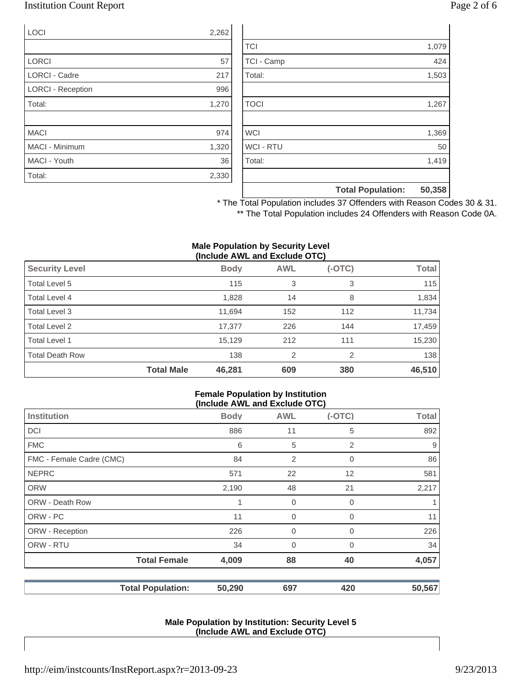### Institution Count Report Page 2 of 6

| LOCI                     | 2,262 |
|--------------------------|-------|
|                          |       |
| <b>LORCI</b>             | 57    |
| <b>LORCI - Cadre</b>     | 217   |
| <b>LORCI - Reception</b> | 996   |
| Total:                   | 1,270 |
|                          |       |
| <b>MACI</b>              | 974   |
| MACI - Minimum           | 1,320 |
| MACI - Youth             | 36    |
| Total:                   | 2,330 |

|                  | <b>Total Population:</b> | 50,358 |
|------------------|--------------------------|--------|
|                  |                          |        |
| Total:           |                          | 1,419  |
| <b>WCI - RTU</b> |                          | 50     |
| <b>WCI</b>       |                          | 1,369  |
|                  |                          |        |
| <b>TOCI</b>      |                          | 1,267  |
|                  |                          |        |
| Total:           |                          | 1,503  |
| TCI - Camp       |                          | 424    |
| <b>TCI</b>       |                          | 1,079  |

\* The Total Population includes 37 Offenders with Reason Codes 30 & 31. \*\* The Total Population includes 24 Offenders with Reason Code 0A.

#### **Male Population by Security Level (Include AWL and Exclude OTC)**

| <b>Security Level</b>  |                   | <b>Body</b> | <b>AWL</b>     | $(-OTC)$ | <b>Total</b> |
|------------------------|-------------------|-------------|----------------|----------|--------------|
| Total Level 5          |                   | 115         | 3              | 3        | 115          |
| Total Level 4          |                   | 1,828       | 14             | 8        | 1,834        |
| Total Level 3          |                   | 11,694      | 152            | 112      | 11,734       |
| Total Level 2          |                   | 17,377      | 226            | 144      | 17,459       |
| Total Level 1          |                   | 15,129      | 212            | 111      | 15,230       |
| <b>Total Death Row</b> |                   | 138         | $\overline{2}$ | 2        | 138          |
|                        | <b>Total Male</b> | 46,281      | 609            | 380      | 46,510       |

#### **Female Population by Institution (Include AWL and Exclude OTC)**

|                          | $(1101000$ AIIE and Explane $010$ |                |          |              |  |  |  |
|--------------------------|-----------------------------------|----------------|----------|--------------|--|--|--|
| <b>Institution</b>       | <b>Body</b>                       | <b>AWL</b>     | $(-OTC)$ | <b>Total</b> |  |  |  |
| <b>DCI</b>               | 886                               | 11             | 5        | 892          |  |  |  |
| <b>FMC</b>               | 6                                 | 5              | 2        | 9            |  |  |  |
| FMC - Female Cadre (CMC) | 84                                | 2              | 0        | 86           |  |  |  |
| <b>NEPRC</b>             | 571                               | 22             | 12       | 581          |  |  |  |
| <b>ORW</b>               | 2,190                             | 48             | 21       | 2,217        |  |  |  |
| <b>ORW - Death Row</b>   | 1                                 | 0              | 0        |              |  |  |  |
| ORW - PC                 | 11                                | $\mathbf 0$    | 0        | 11           |  |  |  |
| ORW - Reception          | 226                               | $\overline{0}$ | 0        | 226          |  |  |  |
| ORW - RTU                | 34                                | $\overline{0}$ | 0        | 34           |  |  |  |
| <b>Total Female</b>      | 4,009                             | 88             | 40       | 4,057        |  |  |  |
| <b>Total Population:</b> | 50,290                            | 697            | 420      | 50,567       |  |  |  |

#### **Male Population by Institution: Security Level 5 (Include AWL and Exclude OTC)**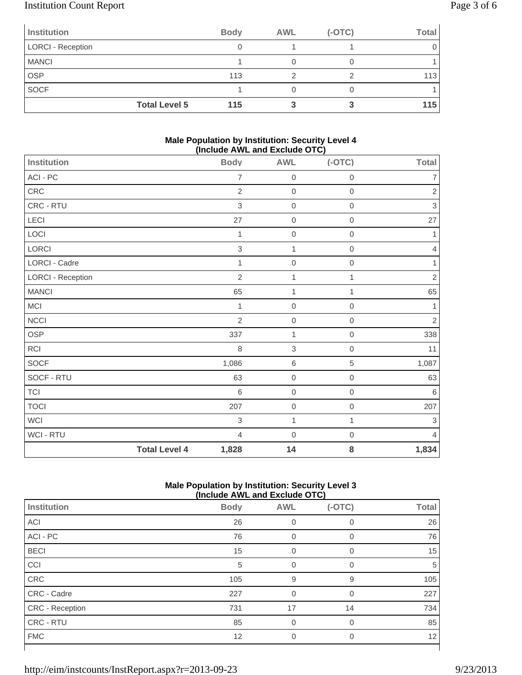# Institution Count Report Page 3 of 6

| <b>Institution</b>       | <b>Body</b>                 | <b>AWL</b> | $(-OTC)$ | <b>Total</b> |
|--------------------------|-----------------------------|------------|----------|--------------|
| <b>LORCI - Reception</b> |                             |            |          |              |
| <b>MANCI</b>             |                             |            |          |              |
| <b>OSP</b>               | 113                         |            |          | 113          |
| <b>SOCF</b>              |                             |            |          |              |
|                          | <b>Total Level 5</b><br>115 |            |          | 115          |

#### **Male Population by Institution: Security Level 4 (Include AWL and Exclude OTC)**

| Institution              |                      | <b>Body</b>    | -- - - - ,<br><b>AWL</b> | $(-OTC)$         | <b>Total</b>   |
|--------------------------|----------------------|----------------|--------------------------|------------------|----------------|
| ACI - PC                 |                      | $\overline{7}$ | $\mathbf 0$              | $\boldsymbol{0}$ | $\overline{7}$ |
| CRC                      |                      | $\overline{2}$ | $\mathbf 0$              | $\mathbf 0$      | $\sqrt{2}$     |
| CRC - RTU                |                      | 3              | $\mathbf 0$              | $\mathbf 0$      | $\mathsf 3$    |
| LECI                     |                      | 27             | $\mathbf 0$              | $\,0\,$          | 27             |
| LOCI                     |                      | 1              | $\mathbf 0$              | $\mathbf 0$      | 1              |
| LORCI                    |                      | $\,$ 3 $\,$    | 1                        | $\,0\,$          | $\overline{4}$ |
| LORCI - Cadre            |                      | 1              | $\mathbf 0$              | $\boldsymbol{0}$ | 1              |
| <b>LORCI - Reception</b> |                      | $\overline{2}$ | $\mathbf{1}$             | 1                | $\sqrt{2}$     |
| <b>MANCI</b>             |                      | 65             | $\mathbf 1$              | 1                | 65             |
| MCI                      |                      | 1              | $\mathbf 0$              | $\mathbf 0$      | 1              |
| <b>NCCI</b>              |                      | $\overline{2}$ | $\mathbf 0$              | $\mathbf 0$      | $\sqrt{2}$     |
| OSP                      |                      | 337            | $\mathbf{1}$             | $\mathbf 0$      | 338            |
| RCI                      |                      | 8              | $\sqrt{3}$               | $\mathbf 0$      | 11             |
| SOCF                     |                      | 1,086          | $\,6\,$                  | 5                | 1,087          |
| SOCF - RTU               |                      | 63             | $\mathbf 0$              | $\mathbf 0$      | 63             |
| <b>TCI</b>               |                      | 6              | $\mathbf 0$              | $\mathbf 0$      | 6              |
| <b>TOCI</b>              |                      | 207            | $\mathbf 0$              | $\mathbf 0$      | 207            |
| <b>WCI</b>               |                      | 3              | $\mathbf{1}$             | 1                | $\mathsf 3$    |
| WCI - RTU                |                      | $\overline{4}$ | $\mathbf 0$              | $\boldsymbol{0}$ | $\overline{4}$ |
|                          | <b>Total Level 4</b> | 1,828          | 14                       | 8                | 1,834          |

#### **Male Population by Institution: Security Level 3 (Include AWL and Exclude OTC)**

|                        | (include AWL and Exclude OTC) |            |             |              |
|------------------------|-------------------------------|------------|-------------|--------------|
| Institution            | <b>Body</b>                   | <b>AWL</b> | $(-OTC)$    | <b>Total</b> |
| <b>ACI</b>             | 26                            | 0          | 0           | 26           |
| ACI - PC               | 76                            | 0          | $\mathbf 0$ | 76           |
| <b>BECI</b>            | 15                            | 0          | $\Omega$    | 15           |
| CCI                    | 5                             |            | 0           | 5            |
| CRC                    | 105                           | 9          | 9           | 105          |
| CRC - Cadre            | 227                           |            | $\Omega$    | 227          |
| <b>CRC</b> - Reception | 731                           | 17         | 14          | 734          |
| CRC - RTU              | 85                            | 0          | $\Omega$    | 85           |
| <b>FMC</b>             | 12                            | 0          | 0           | 12           |
|                        |                               |            |             |              |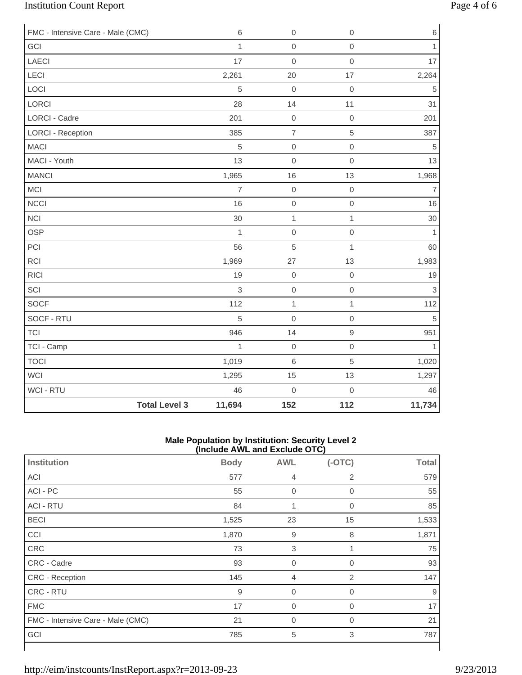# Institution Count Report Page 4 of 6

| FMC - Intensive Care - Male (CMC) | 6                              | $\boldsymbol{0}$ | $\mathsf{O}\xspace$ | 6              |
|-----------------------------------|--------------------------------|------------------|---------------------|----------------|
| GCI                               | $\mathbf{1}$                   | $\mathbf 0$      | $\mathsf{O}\xspace$ | $\mathbf{1}$   |
| <b>LAECI</b>                      | 17                             | $\mathbf 0$      | $\mathsf{O}\xspace$ | 17             |
| LECI                              | 2,261                          | 20               | 17                  | 2,264          |
| LOCI                              | 5                              | $\mathbf 0$      | $\mbox{O}$          | 5              |
| LORCI                             | 28                             | 14               | 11                  | 31             |
| <b>LORCI - Cadre</b>              | 201                            | $\mbox{O}$       | $\mathsf{O}\xspace$ | 201            |
| <b>LORCI - Reception</b>          | 385                            | $\overline{7}$   | 5                   | 387            |
| <b>MACI</b>                       | 5                              | $\mathbf 0$      | $\mathsf{O}\xspace$ | 5              |
| MACI - Youth                      | 13                             | $\mathbf 0$      | $\mathbf 0$         | 13             |
| <b>MANCI</b>                      | 1,965                          | 16               | 13                  | 1,968          |
| MCI                               | $\overline{7}$                 | $\boldsymbol{0}$ | $\mathbf 0$         | $\overline{7}$ |
| <b>NCCI</b>                       | 16                             | $\mathbf 0$      | $\mathsf{O}\xspace$ | 16             |
| <b>NCI</b>                        | 30                             | $\mathbf 1$      | $\mathbf{1}$        | 30             |
| <b>OSP</b>                        | $\mathbf{1}$                   | $\mathbf 0$      | $\mathsf{O}\xspace$ | $\mathbf{1}$   |
| PCI                               | 56                             | $\overline{5}$   | $\mathbf{1}$        | 60             |
| RCI                               | 1,969                          | 27               | 13                  | 1,983          |
| <b>RICI</b>                       | 19                             | $\mathbf 0$      | $\mathsf{O}\xspace$ | 19             |
| SCI                               | 3                              | $\mathbf 0$      | $\mathsf{O}\xspace$ | 3              |
| SOCF                              | 112                            | $\mathbf 1$      | $\mathbf{1}$        | 112            |
| SOCF - RTU                        | 5                              | $\mathbf 0$      | $\mathsf{O}\xspace$ | 5              |
| <b>TCI</b>                        | 946                            | 14               | $\hbox{9}$          | 951            |
| TCI - Camp                        | $\mathbf{1}$                   | $\mathbf 0$      | $\mathsf{O}\xspace$ | $\mathbf{1}$   |
| <b>TOCI</b>                       | 1,019                          | $\,6\,$          | 5                   | 1,020          |
| WCI                               | 1,295                          | 15               | 13                  | 1,297          |
| WCI - RTU                         | 46                             | $\mathbf 0$      | $\mathsf{O}\xspace$ | 46             |
|                                   | <b>Total Level 3</b><br>11,694 | 152              | 112                 | 11,734         |

#### **Male Population by Institution: Security Level 2 (Include AWL and Exclude OTC)**

|                                   | ,           |                  | . <sub>1</sub> |              |
|-----------------------------------|-------------|------------------|----------------|--------------|
| <b>Institution</b>                | <b>Body</b> | <b>AWL</b>       | $(-OTC)$       | <b>Total</b> |
| ACI                               | 577         | $\overline{4}$   | $\overline{2}$ | 579          |
| ACI - PC                          | 55          | $\mathbf 0$      | $\overline{0}$ | 55           |
| <b>ACI - RTU</b>                  | 84          | 1                | $\mathbf 0$    | 85           |
| <b>BECI</b>                       | 1,525       | 23               | 15             | 1,533        |
| CCI                               | 1,870       | $\boldsymbol{9}$ | 8              | 1,871        |
| CRC                               | 73          | 3                | 1              | 75           |
| CRC - Cadre                       | 93          | $\mathbf 0$      | 0              | 93           |
| CRC - Reception                   | 145         | $\overline{4}$   | 2              | 147          |
| CRC - RTU                         | 9           | $\mathbf 0$      | $\mathbf 0$    | 9            |
| <b>FMC</b>                        | 17          | $\mathbf 0$      | $\mathbf 0$    | 17           |
| FMC - Intensive Care - Male (CMC) | 21          | $\mathbf 0$      | 0              | 21           |
| GCI                               | 785         | 5                | 3              | 787          |
|                                   |             |                  |                |              |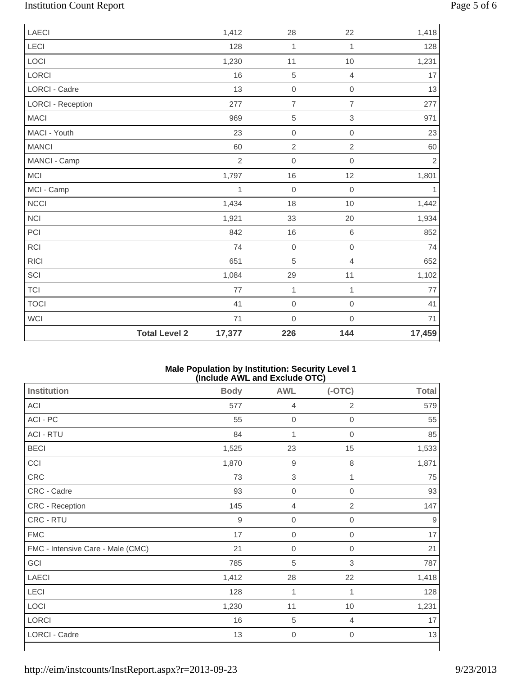# Institution Count Report Page 5 of 6

| <b>LAECI</b>             |                      | 1,412          | 28               | 22                  | 1,418          |
|--------------------------|----------------------|----------------|------------------|---------------------|----------------|
| <b>LECI</b>              |                      | 128            | 1                | 1                   | 128            |
| LOCI                     |                      | 1,230          | 11               | 10                  | 1,231          |
| LORCI                    |                      | 16             | 5                | $\overline{4}$      | 17             |
| LORCI - Cadre            |                      | 13             | $\mathbf 0$      | $\mbox{O}$          | 13             |
| <b>LORCI - Reception</b> |                      | 277            | $\overline{7}$   | $\overline{7}$      | 277            |
| <b>MACI</b>              |                      | 969            | 5                | $\,$ 3 $\,$         | 971            |
| MACI - Youth             |                      | 23             | $\boldsymbol{0}$ | $\mathbf 0$         | 23             |
| <b>MANCI</b>             |                      | 60             | $\overline{c}$   | $\overline{2}$      | 60             |
| MANCI - Camp             |                      | $\overline{2}$ | $\boldsymbol{0}$ | $\mathbf 0$         | $\overline{2}$ |
| MCI                      |                      | 1,797          | 16               | 12                  | 1,801          |
| MCI - Camp               |                      | 1              | $\boldsymbol{0}$ | $\mathsf{O}\xspace$ | $\mathbf{1}$   |
| <b>NCCI</b>              |                      | 1,434          | 18               | 10                  | 1,442          |
| <b>NCI</b>               |                      | 1,921          | 33               | 20                  | 1,934          |
| PCI                      |                      | 842            | 16               | $\,6$               | 852            |
| <b>RCI</b>               |                      | 74             | $\mathbf 0$      | $\mathbf 0$         | 74             |
| <b>RICI</b>              |                      | 651            | 5                | $\overline{4}$      | 652            |
| SCI                      |                      | 1,084          | 29               | 11                  | 1,102          |
| <b>TCI</b>               |                      | 77             | $\mathbf{1}$     | $\mathbf{1}$        | 77             |
| <b>TOCI</b>              |                      | 41             | $\mathbf 0$      | $\mbox{O}$          | 41             |
| <b>WCI</b>               |                      | 71             | $\mathbf 0$      | $\mathbf 0$         | 71             |
|                          | <b>Total Level 2</b> | 17,377         | 226              | 144                 | 17,459         |

#### **Male Population by Institution: Security Level 1 (Include AWL and Exclude OTC)**

| Institution                       | <b>Body</b>      | <b>AWL</b>       | $(-OTC)$         | <b>Total</b> |
|-----------------------------------|------------------|------------------|------------------|--------------|
| ACI                               | 577              | $\overline{4}$   | $\mathbf{2}$     | 579          |
| ACI - PC                          | 55               | $\boldsymbol{0}$ | $\boldsymbol{0}$ | 55           |
| <b>ACI - RTU</b>                  | 84               | 1                | $\overline{0}$   | 85           |
| <b>BECI</b>                       | 1,525            | 23               | 15               | 1,533        |
| CCI                               | 1,870            | $\mathsf g$      | 8                | 1,871        |
| CRC                               | 73               | $\sqrt{3}$       | 1                | 75           |
| CRC - Cadre                       | 93               | $\mathbf 0$      | $\overline{0}$   | 93           |
| CRC - Reception                   | 145              | $\overline{4}$   | 2                | 147          |
| CRC - RTU                         | $\boldsymbol{9}$ | $\boldsymbol{0}$ | $\overline{0}$   | 9            |
| <b>FMC</b>                        | 17               | $\mathbf 0$      | 0                | 17           |
| FMC - Intensive Care - Male (CMC) | 21               | $\boldsymbol{0}$ | 0                | 21           |
| GCI                               | 785              | 5                | 3                | 787          |
| <b>LAECI</b>                      | 1,412            | 28               | 22               | 1,418        |
| LECI                              | 128              | 1                | 1                | 128          |
| LOCI                              | 1,230            | 11               | 10               | 1,231        |
| <b>LORCI</b>                      | 16               | 5                | 4                | 17           |
| LORCI - Cadre                     | 13               | $\mathbf 0$      | $\boldsymbol{0}$ | 13           |